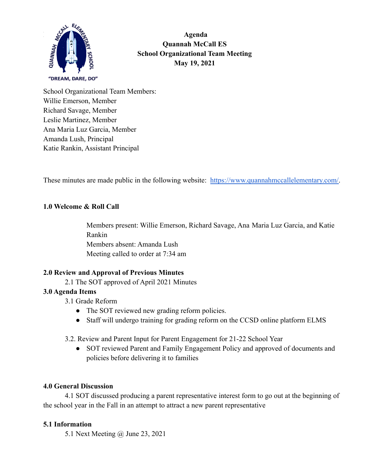

**klc Agenda Quannah McCall ES School Organizational Team Meeting May 19, 2021**

School Organizational Team Members: Willie Emerson, Member Richard Savage, Member Leslie Martinez, Member Ana Maria Luz Garcia, Member Amanda Lush, Principal Katie Rankin, Assistant Principal

These minutes are made public in the following website: [https://www.quannahmccallelementary.com/.](https://www.quannahmccallelementary.com/)

## **1.0 Welcome & Roll Call**

Members present: Willie Emerson, Richard Savage, Ana Maria Luz Garcia, and Katie Rankin Members absent: Amanda Lush Meeting called to order at 7:34 am

## **2.0 Review and Approval of Previous Minutes**

2.1 The SOT approved of April 2021 Minutes

#### **3.0 Agenda Items**

- 3.1 Grade Reform
	- The SOT reviewed new grading reform policies.
	- Staff will undergo training for grading reform on the CCSD online platform ELMS
- 3.2. Review and Parent Input for Parent Engagement for 21-22 School Year
	- SOT reviewed Parent and Family Engagement Policy and approved of documents and policies before delivering it to families

#### **4.0 General Discussion**

4.1 SOT discussed producing a parent representative interest form to go out at the beginning of the school year in the Fall in an attempt to attract a new parent representative

#### **5.1 Information**

5.1 Next Meeting @ June 23, 2021